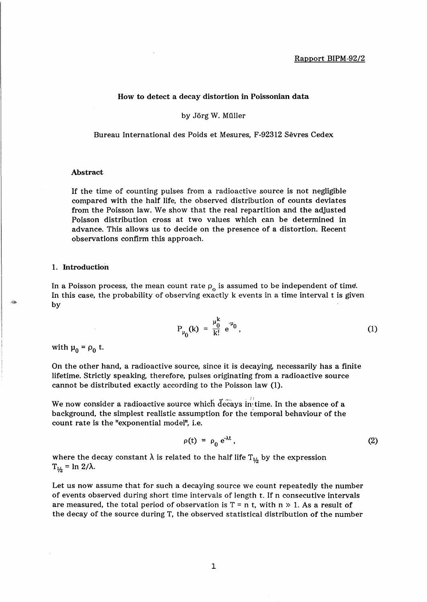# How to detect a decay distortion in Poissonian data

by Jörg W. Müller

Bureau International des Poids et Mesures, F-92312 Sevres Cedex

### Abstract

If the time of counting pulses from a radioactive source is not negligible compared with the half life, the observed distribution of counts deviates from the Poisson law. We show that the real repartition and the adjusted Poisson distribution cross at two values which can be determined in advance. This allows us to decide on the presence of a distortion. Recent observations confirm this approach.

# 1. Introduction

In a Poisson process, the mean count rate  $\rho_0$  is assumed to be independent of time. In this case, the probability of observing exactly k events in a time interval t is given by

$$
P_{\mu_0}(k) = \frac{\mu_0^k}{k!} e^{-\mu_0}, \qquad (1)
$$

with  $\mu_0 = \rho_0$  t.

On the other hand, a radioactive source, since it is decaying, necessarily has a finite lifetime. Strictly speaking, therefore, pulses originating from a radioactive source cannot be distributed exactly according to the Poisson law (1).

We now consider a radioactive source which decays in time. In the absence of a background, the simplest realistic assumption for the temporal behaviour of the count rate is the "exponential model", i.e.

$$
\rho(t) = \rho_0 e^{\lambda t}, \qquad (2)
$$

where the decay constant  $\lambda$  is related to the half life T<sub>1/2</sub> by the expression  $T_{1/2}$  = ln 2/ $\lambda$ .

Let us now assume that for such a decaying source we count repeatedly the number of events observed during short time intervals of length t. If n consecutive intervals are measured, the total period of observation is  $T = n$  t, with  $n \gg 1$ . As a result of the decay of the source during T, the observed statistical distribution of the number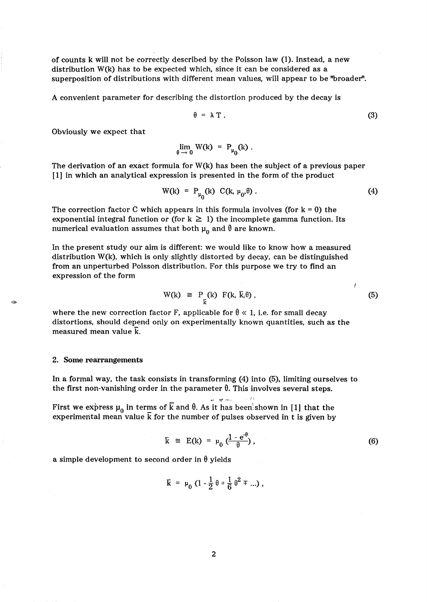of counts k will not be correctly described by the Poisson law (1). Instead, a new distribution  $W(k)$  has to be expected which, since it can be considered as a superposition of distributions with different mean values, will appear to be ''broader''.

A convenient parameter for describing the distortion produced by the decay is

$$
\theta = \lambda T. \tag{3}
$$

Obviously we expect that

$$
\lim_{\theta \to 0} W(k) = P_{\mu_0}(k) .
$$

The derivation of an exact formula for W(k) has been the subject of a previous paper **[1]** in which an analytical expression is presented in the form of the product

$$
W(k) = P_{\mu_0}(k) C(k, \mu_0, \theta). \tag{4}
$$

The correction factor C which appears in this formula involves (for  $k = 0$ ) the exponential integral function or (for  $k \geq 1$ ) the incomplete gamma function. Its numerical evaluation assumes that both  $\mu_0$  and  $\theta$  are known.

In the present study our aim is different: we would like to know how a measured distribution W(k), which is only slightly distorted by decay, can be distinguished from an unperturbed Poisson distribution. For this purpose we try to find an expression of the form

$$
W(k) \cong P_{\tilde{k}}(k) F(k, \bar{k}, \theta), \qquad (5)
$$

Ý

where the new correction factor F, applicable for  $\theta \ll 1$ , i.e. for small decay distortions, should depend only on experimentally known quantities, such as the measured mean value  $\overline{k}$ .

#### 2. Some rearrangements

In a formal way, the task consists in transforming (4) into (5), limiting ourselves to the first non-vanishing order in the parameter  $\theta$ . This involves several steps.

First we express  $\mu_0$  in terms of  $\overline{k}$  and  $\theta$ . As it has been shown in [1] that the experimental mean value  $\bar{k}$  for the number of pulses observed in t is given by

$$
\overline{k} \cong E(k) = \mu_0 \left( \frac{1 - e^{-\theta}}{\theta} \right), \tag{6}
$$

;1,

a simple development to second order in  $\theta$  yields

$$
\overline{k} = \mu_0 \left( 1 - \frac{1}{2} \theta + \frac{1}{6} \theta^2 \mp ... \right),
$$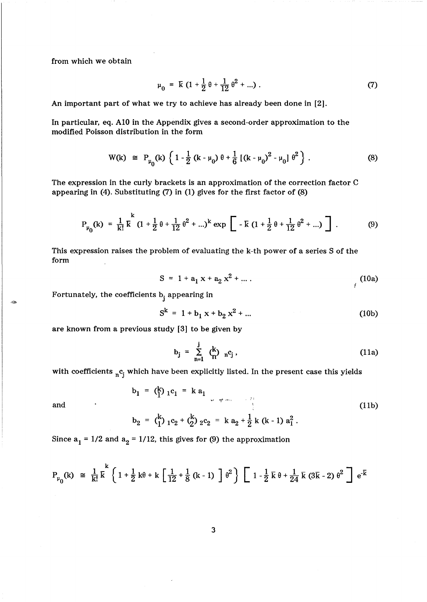from which we obtain

$$
\mu_0 = \mathbf{K} \left( 1 + \frac{1}{2} \theta + \frac{1}{12} \theta^2 + \ldots \right). \tag{7}
$$

An important part of what we try to achieve has already been done in [2].

In particular, eq. AIO in the Appendix gives a second-order approximation to the modified Poisson distribution in the form

$$
W(k) \cong P_{\mu_0}(k) \left\{ 1 - \frac{1}{2} (k - \mu_0) \theta + \frac{1}{6} [(k - \mu_0)^2 - \mu_0] \theta^2 \right\}. \tag{8}
$$

The expression in the curly brackets is an approximation of the correction factor C appearing in (4). Substituting (7) in (l) gives for the first factor of (8)

$$
P_{\mu_0}(k) = \frac{1}{k!} \overline{k}^k (1 + \frac{1}{2} \theta + \frac{1}{12} \theta^2 + ...)^{k} \exp \left[ -\overline{k} (1 + \frac{1}{2} \theta + \frac{1}{12} \theta^2 + ...) \right].
$$
 (9)

This expression raises the problem of evaluating the k-th power of a series S of the form

$$
S = 1 + a_1 x + a_2 x^2 + \dots
$$
 (10a)

Fortunately, the coefficients  $b_j$  appearing in

$$
S^k = 1 + b_1 x + b_2 x^2 + \dots
$$
 (10b)

are known from a previous study [3] to be given by

$$
b_j = \sum_{n=1}^j \binom{k}{n} n^c_j, \qquad (11a)
$$

with coefficients  ${}_{\textrm{n}}\textrm{c}_j$  which have been explicitly listed. In the present case this yields

and 
$$
b_1 = {k \choose 1} {}_1c_1 = k a_1
$$

$$
b_2 = {k \choose 1} {}_1c_2 + {k \choose 2} {}_2c_2 = k a_2 + \frac{1}{2} k (k-1) a_1^2.
$$
 (11b)

Since 
$$
a_1 = 1/2
$$
 and  $a_2 = 1/12$ , this gives for (9) the approximation

$$
P_{\mu_0}(k) \cong \frac{1}{k!} \overline{k}^{k} \left\{ 1 + \frac{1}{2} k \theta + k \left[ \frac{1}{12} + \frac{1}{8} (k-1) \right] \theta^{2} \right\} \left[ 1 - \frac{1}{2} \overline{k} \theta + \frac{1}{24} \overline{k} (3 \overline{k} - 2) \theta^{2} \right] e^{-\overline{k}}
$$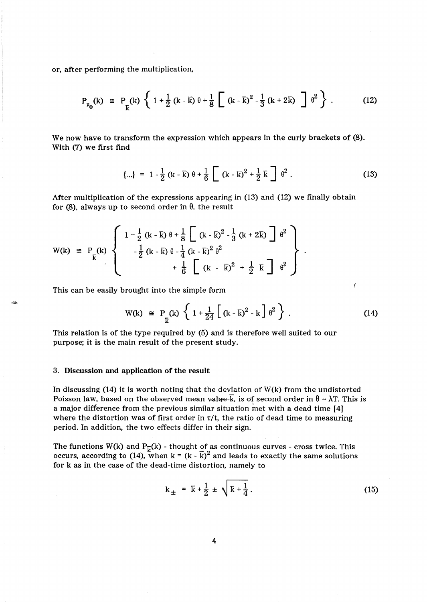or, after performing the multiplication,

$$
P_{\mu_0}(k) \cong P_{\vec{k}}(k) \left\{ 1 + \frac{1}{2} (k - \bar{k}) \theta + \frac{1}{8} \left[ (k - \bar{k})^2 - \frac{1}{3} (k + 2\bar{k}) \right] \theta^2 \right\}.
$$
 (12)

We now have to transform the expression which appears in the curly brackets of (8). With (7) we first find

$$
\{\ldots\} = 1 - \frac{1}{2} (k - \bar{k}) \theta + \frac{1}{6} \left[ (k - \bar{k})^2 + \frac{1}{2} \bar{k} \right] \theta^2.
$$
 (13)

After multiplication of the expressions appearing in (13) and (12) we finally obtain for (8), always up to second order in  $\theta$ , the result

$$
W(k) \equiv P_{\vec{k}}(k) \left\{ \begin{array}{c} 1 + \frac{1}{2} (k - \bar{k}) \theta + \frac{1}{8} \left[ (k - \bar{k})^2 - \frac{1}{3} (k + 2 \bar{k}) \right] \theta^2 \\ - \frac{1}{2} (k - \bar{k}) \theta - \frac{1}{4} (k - \bar{k})^2 \theta^2 \\ + \frac{1}{6} \left[ (k - \bar{k})^2 + \frac{1}{2} \bar{k} \right] \theta^2 \end{array} \right\}
$$

This can be easily brought into the simple form

$$
W(k) \cong P_{K}(k) \left\{ 1 + \frac{1}{24} \left[ (k - \bar{k})^{2} - k \right] \theta^{2} \right\}.
$$
 (14)

Ĭ

This relation is of the type required by (5) and is therefore well suited to our purpose; it is the main result of the present study.

### 3. Discussion and application of the result

In discussing  $(14)$  it is worth noting that the deviation of W(k) from the undistorted Poisson law, based on the observed mean value.<sup> $\overline{k}$ </sup>, is of second order in  $\theta = \lambda T$ . This is a major difference from the previous similar situation met with a dead time [4] where the distortion was of first order in *7it,* the ratio of dead time to measuring period. In addition, the two effects differ in their sign.

The functions W(k) and P<sub> $\bar{v}$ </sub>(k) - thought of as continuous curves - cross twice. This occurs, according to (14), when  $k = (k - \overline{k})^2$  and leads to exactly the same solutions for k as in the case of the dead-time distortion, namely to

$$
k_{\pm} = \bar{k} + \frac{1}{2} \pm \sqrt{\bar{k} + \frac{1}{4}}.
$$
 (15)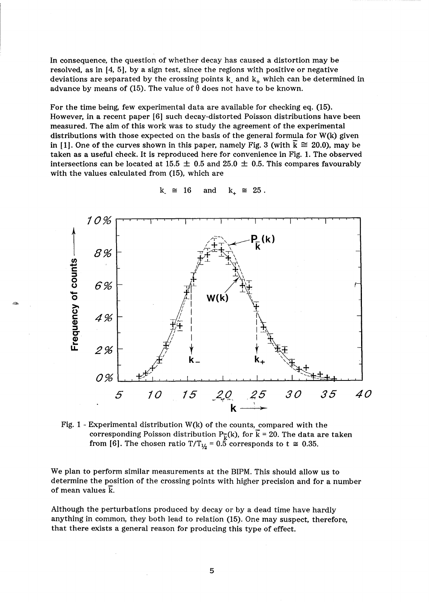In consequence, the question of whether decay has caused a distortion may be resolved, as in [4, 5], by a sign test, since the regions with positive or negative deviations are separated by the crossing points  $k_{-}$  and  $k_{+}$  which can be determined in advance by means of (15). The value of  $\theta$  does not have to be known.

For the time being, few experimental data are available for checking eq. (15). However, in a recent paper [6] such decay-distorted Poisson distributions have been measured. The aim of this work was to study the agreement of the experimental distributions with those expected on the basis of the general formula for W(k) given in [1]. One of the curves shown in this paper, namely Fig. 3 (with  $k \approx 20.0$ ), may be taken as a useful check. It is reproduced here for convenience in Fig. 1. The observed intersections can be located at 15.5  $\pm$  0.5 and 25.0  $\pm$  0.5. This compares favourably with the values calculated from (15), which are



-

 $k_{-} \cong 16$  and  $k_{+} \cong 25$ .

Fig. 1 - Experimental distribution  $W(k)$  of the counts, compared with the corresponding Poisson distribution  $P_{\overline{k}}(k)$ , for  $\overline{k} = 20$ . The data are taken from [6]. The chosen ratio T/T<sub> $V_2$ </sub> = 0.5 corresponds to t  $\approx$  0.35.

We plan to perform similar measurements at the BIPM. This should allow us to determine the position of the crossing points with higher precision and for a number of mean values k.

Although the perturbations produced by decay or by a dead time have hardly anything in common, they both lead to relation (15). One may suspect, therefore, that there exists a general reason for producing this type of effect.